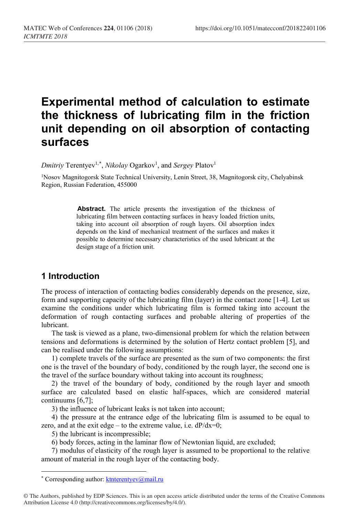# **Experimental method of calculation to estimate the thickness of lubricating film in the friction unit depending on oil absorption of contacting surfaces**

 $Dmitriy$  Terentyev<sup>1,[\\*](#page-0-0)</sup>, *Nikolay* Ogarkov<sup>1</sup>, and *Sergey* Platov<sup>1</sup>

1Nosov Magnitogorsk State Technical University, Lenin Street, 38, Magnitogorsk city, Chelyabinsk Region, Russian Federation, 455000

> **Abstract.** The article presents the investigation of the thickness of lubricating film between contacting surfaces in heavy loaded friction units, taking into account oil absorption of rough layers. Oil absorption index depends on the kind of mechanical treatment of the surfaces and makes it possible to determine necessary characteristics of the used lubricant at the design stage of a friction unit.

## **1 Introduction**

The process of interaction of contacting bodies considerably depends on the presence, size, form and supporting capacity of the lubricating film (layer) in the contact zone [1-4]. Let us examine the conditions under which lubricating film is formed taking into account the deformation of rough contacting surfaces and probable altering of properties of the lubricant.

The task is viewed as a plane, two-dimensional problem for which the relation between tensions and deformations is determined by the solution of Hertz contact problem [5], and can be realised under the following assumptions:

1) complete travels of the surface are presented as the sum of two components: the first one is the travel of the boundary of body, conditioned by the rough layer, the second one is the travel of the surface boundary without taking into account its roughness;

2) the travel of the boundary of body, conditioned by the rough layer and smooth surface are calculated based on elastic half-spaces, which are considered material continuums [6,7];

3) the influence of lubricant leaks is not taken into account;

4) the pressure at the entrance edge of the lubricating film is assumed to be equal to zero, and at the exit edge – to the extreme value, i.e.  $dP/dx=0$ ;

5) the lubricant is incompressible;

6) body forces, acting in the laminar flow of Newtonian liquid, are excluded;

7) modulus of elasticity of the rough layer is assumed to be proportional to the relative amount of material in the rough layer of the contacting body.

 $\overline{\phantom{a}}$ 

<sup>\*</sup> Corresponding author[: ktnterentyev@mail.ru](mailto:ktnterentyev@mail.ru)

<span id="page-0-0"></span><sup>©</sup> The Authors, published by EDP Sciences. This is an open access article distributed under the terms of the Creative Commons Attribution License 4.0 (http://creativecommons.org/licenses/by/4.0/).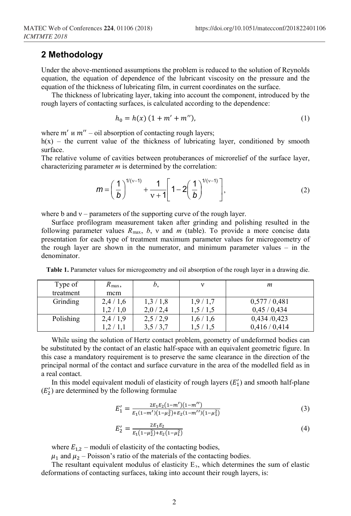#### **2 Methodology**

Under the above-mentioned assumptions the problem is reduced to the solution of Reynolds equation, the equation of dependence of the lubricant viscosity on the pressure and the equation of the thickness of lubricating film, in current coordinates on the surface.

The thickness of lubricating layer, taking into account the component, introduced by the rough layers of contacting surfaces, is calculated according to the dependence:

$$
h_0 = h(x) (1 + m' + m''), \tag{1}
$$

where  $m'$  u  $m''$  – oil absorption of contacting rough layers;

 $h(x)$  – the current value of the thickness of lubricating layer, conditioned by smooth surface.

The relative volume of cavities between protuberances of microrelief of the surface layer, characterizing parameter *m* is determined by the correlation:

$$
m = \left(\frac{1}{b}\right)^{1/(v-1)} + \frac{1}{v+1} \left[1 - 2\left(\frac{1}{b}\right)^{1/(v-1)}\right],
$$
 (2)

where b and  $v$  – parameters of the supporting curve of the rough layer.

Surface profilogram measurement taken after grinding and polishing resulted in the following parameter values  $R_{\text{max}}$ ,  $b$ ,  $v$  and  $m$  (table). To provide a more concise data presentation for each type of treatment maximum parameter values for microgeometry of the rough layer are shown in the numerator, and minimum parameter values – in the denominator.

| Type of   | $R_{\text{max}}$ | b,      |         | m           |
|-----------|------------------|---------|---------|-------------|
| treatment | mcm              |         |         |             |
| Grinding  | 2,4/1,6          | 1,3/1,8 | 1,9/1,7 | 0,577/0,481 |
|           | 1,2/1,0          | 2,0/2,4 | 1,5/1,5 | 0,45/0,434  |
| Polishing | 2,4/1,9          | 2,5/2,9 | 1,6/1,6 | 0,434/0,423 |
|           | 1,2/1,1          | 3,5/3,7 | 1,5/1,5 | 0,416/0,414 |

**Table 1.** Parameter values for microgeometry and oil absorption of the rough layer in a drawing die.

While using the solution of Hertz contact problem, geometry of undeformed bodies can be substituted by the contact of an elastic half-space with an equivalent geometric figure. In this case a mandatory requirement is to preserve the same clearance in the direction of the principal normal of the contact and surface curvature in the area of the modelled field as in a real contact.

In this model equivalent moduli of elasticity of rough layers  $(E'_1)$  and smooth half-plane  $(E'_2)$  are determined by the following formulae

$$
E'_{1} = \frac{2E_{1}E_{2}(1-m')(1-m'')}{E_{1}(1-m')(1-\mu_{2}^{2})+E_{2}(1-m'')(1-\mu_{1}^{2})}
$$
(3)

$$
E_2' = \frac{2E_1E_2}{E_1(1-\mu_2^2) + E_2(1-\mu_1^2)}
$$
(4)

where  $E_{1,2}$  – moduli of elasticity of the contacting bodies,

 $\mu_1$  and  $\mu_2$  – Poisson's ratio of the materials of the contacting bodies.

The resultant equivalent modulus of elasticity E<sub>3</sub>, which determines the sum of elastic deformations of contacting surfaces, taking into account their rough layers, is: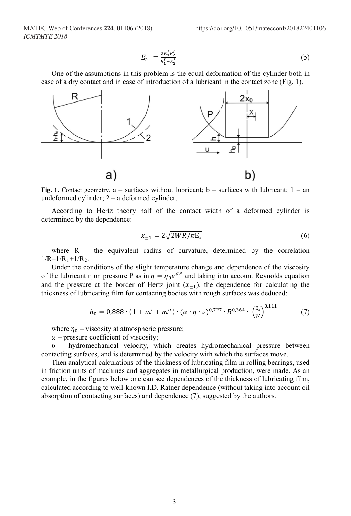$$
E_3 = \frac{2E_1'E_2'}{E_1'+E_2'}\tag{5}
$$

One of the assumptions in this problem is the equal deformation of the cylinder both in case of a dry contact and in case of introduction of a lubricant in the contact zone (Fig. 1).



**Fig. 1.** Contact geometry.  $a$  – surfaces without lubricant;  $b$  – surfaces with lubricant;  $1 - an$ undeformed cylinder; 2 – a deformed cylinder.

According to Hertz theory half of the contact width of a deformed cylinder is determined by the dependence:

$$
x_{\pm 1} = 2\sqrt{2WR/\pi E_3} \tag{6}
$$

 $0.111$ 

where  $R$  – the equivalent radius of curvature, determined by the correlation  $1/R=1/R_1+1/R_2$ .

Under the conditions of the slight temperature change and dependence of the viscosity of the lubricant η on pressure P as in  $\eta = \eta_0 e^{\alpha P}$  and taking into account Reynolds equation and the pressure at the border of Hertz joint  $(x_{+1})$ , the dependence for calculating the thickness of lubricating film for contacting bodies with rough surfaces was deduced:

$$
h_0 = 0.888 \cdot (1 + m' + m'') \cdot (\alpha \cdot \eta \cdot \nu)^{0.727} \cdot R^{0.364} \cdot \left(\frac{E_3}{W}\right)^{0.111} \tag{7}
$$

where  $\eta_0$  – viscosity at atmospheric pressure;

 $\alpha$  – pressure coefficient of viscosity;

υ – hydromechanical velocity, which creates hydromechanical pressure between contacting surfaces, and is determined by the velocity with which the surfaces move.

Then analytical calculations of the thickness of lubricating film in rolling bearings, used in friction units of machines and aggregates in metallurgical production, were made. As an example, in the figures below one can see dependences of the thickness of lubricating film, calculated according to well-known I.D. Ratner dependence (without taking into account oil absorption of contacting surfaces) and dependence (7), suggested by the authors.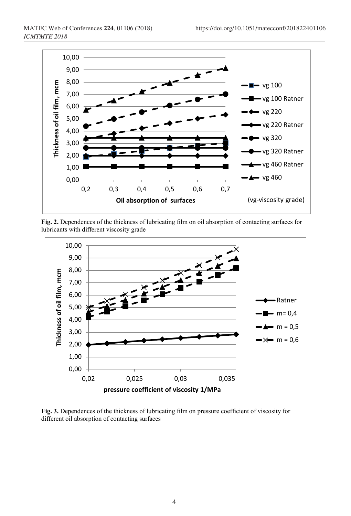

**Fig. 2.** Dependences of the thickness of lubricating film on oil absorption of contacting surfaces for lubricants with different viscosity grade



**Fig. 3.** Dependences of the thickness of lubricating film on pressure coefficient of viscosity for different oil absorption of contacting surfaces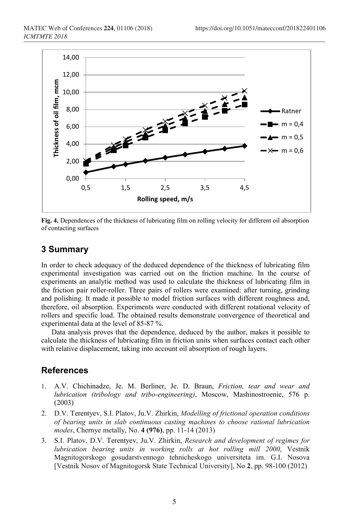

**Fig. 4.** Dependences of the thickness of lubricating film on rolling velocity for different oil absorption of contacting surfaces

# **3 Summary**

In order to check adequacy of the deduced dependence of the thickness of lubricating film experimental investigation was carried out on the friction machine. In the course of experiments an analytic method was used to calculate the thickness of lubricating film in the friction pair roller-roller. Three pairs of rollers were examined: after turning, grinding and polishing. It made it possible to model friction surfaces with different roughness and, therefore, oil absorption. Experiments were conducted with different rotational velocity of rollers and specific load. The obtained results demonstrate convergence of theoretical and experimental data at the level of 85-87 %.

Data analysis proves that the dependence, deduced by the author, makes it possible to calculate the thickness of lubricating film in friction units when surfaces contact each other with relative displacement, taking into account oil absorption of rough layers.

## **References**

- 1. A.V. Chichinadze, Je. M. Berliner, Je. D. Braun, *Friction, tear and wear and lubrication (tribology and tribo-engineering)*, Moscow, Mashinostroenie, 576 p. (2003)
- 2. D.V. Terentyev, S.I. Platov, Ju.V. Zhirkin, *Modelling of frictional operation conditions of bearing units in slab continuous casting machines to choose rational lubrication modes*, Chernye metally, No. **4 (976)**, pp. 11-14 (2013)
- 3. S.I. Platov, D.V. Terentyev, Ju.V. Zhirkin, *Research and development of regimes for lubrication bearing units in working rolls at hot rolling mill 2000*, Vestnik Magnitogorskogo gosudarstvennogo tehnicheskogo universiteta im. G.I. Nosova [Vestnik Nosov of Magnitogorsk State Technical University], No **2**, pp. 98-100 (2012)